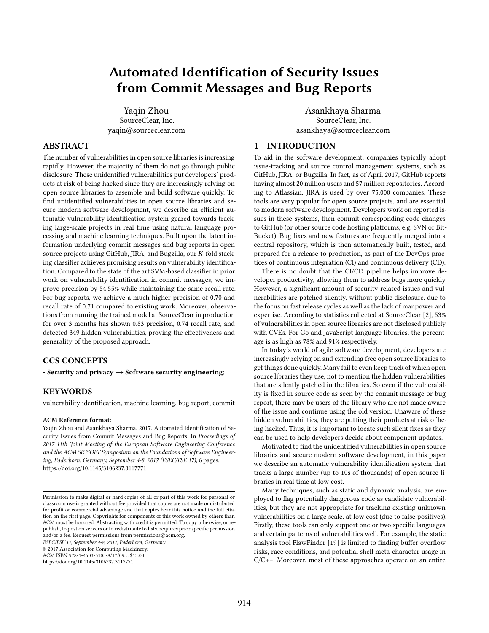# Automated Identification of Security Issues from Commit Messages and Bug Reports

Yaqin Zhou SourceClear, Inc. yaqin@sourceclear.com

#### ABSTRACT

The number of vulnerabilities in open source libraries is increasing rapidly. However, the majority of them do not go through public disclosure. These unidentified vulnerabilities put developers' products at risk of being hacked since they are increasingly relying on open source libraries to assemble and build software quickly. To find unidentified vulnerabilities in open source libraries and secure modern software development, we describe an efficient automatic vulnerability identification system geared towards tracking large-scale projects in real time using natural language processing and machine learning techniques. Built upon the latent information underlying commit messages and bug reports in open source projects using GitHub, JIRA, and Bugzilla, our K-fold stacking classifier achieves promising results on vulnerability identification. Compared to the state of the art SVM-based classifier in prior work on vulnerability identification in commit messages, we improve precision by 54.55% while maintaining the same recall rate. For bug reports, we achieve a much higher precision of 0.70 and recall rate of 0.71 compared to existing work. Moreover, observations from running the trained model at SourceClear in production for over 3 months has shown 0.83 precision, 0.74 recall rate, and detected 349 hidden vulnerabilities, proving the effectiveness and generality of the proposed approach.

## CCS CONCEPTS

• Security and privacy  $\rightarrow$  Software security engineering;

## **KEYWORDS**

vulnerability identification, machine learning, bug report, commit

#### ACM Reference format:

Yaqin Zhou and Asankhaya Sharma. 2017. Automated Identification of Security Issues from Commit Messages and Bug Reports. In Proceedings of 2017 11th Joint Meeting of the European Software Engineering Conference and the ACM SIGSOFT Symposium on the Foundations of Software Engineering, Paderborn, Germany, September 4-8, 2017 (ESEC/FSE'17), [6](#page-5-0) pages. <https://doi.org/10.1145/3106237.3117771>

ESEC/FSE'17, September 4-8, 2017, Paderborn, Germany

© 2017 Association for Computing Machinery.

ACM ISBN 978-1-4503-5105-8/17/09. . . \$15.00

<https://doi.org/10.1145/3106237.3117771>

Asankhaya Sharma SourceClear, Inc. asankhaya@sourceclear.com

## 1 INTRODUCTION

To aid in the software development, companies typically adopt issue-tracking and source control management systems, such as GitHub, JIRA, or Bugzilla. In fact, as of April 2017, GitHub reports having almost 20 million users and 57 million repositories. According to Atlassian, JIRA is used by over 75,000 companies. These tools are very popular for open source projects, and are essential to modern software development. Developers work on reported issues in these systems, then commit corresponding code changes to GitHub (or other source code hosting platforms, e.g. SVN or Bit-Bucket). Bug fixes and new features are frequently merged into a central repository, which is then automatically built, tested, and prepared for a release to production, as part of the DevOps practices of continuous integration (CI) and continuous delivery (CD).

There is no doubt that the CI/CD pipeline helps improve developer productivity, allowing them to address bugs more quickly. However, a significant amount of security-related issues and vulnerabilities are patched silently, without public disclosure, due to the focus on fast release cycles as well as the lack of manpower and expertise. According to statistics collected at SourceClear [\[2\]](#page-5-1), 53% of vulnerabilities in open source libraries are not disclosed publicly with CVEs. For Go and JavaScript language libraries, the percentage is as high as 78% and 91% respectively.

In today's world of agile software development, developers are increasingly relying on and extending free open source libraries to get things done quickly. Many fail to even keep track of which open source libraries they use, not to mention the hidden vulnerabilities that are silently patched in the libraries. So even if the vulnerability is fixed in source code as seen by the commit message or bug report, there may be users of the library who are not made aware of the issue and continue using the old version. Unaware of these hidden vulnerabilities, they are putting their products at risk of being hacked. Thus, it is important to locate such silent fixes as they can be used to help developers decide about component updates.

Motivated to find the unidentified vulnerabilities in open source libraries and secure modern software development, in this paper we describe an automatic vulnerability identification system that tracks a large number (up to 10s of thousands) of open source libraries in real time at low cost.

Many techniques, such as static and dynamic analysis, are employed to flag potentially dangerous code as candidate vulnerabilities, but they are not appropriate for tracking existing unknown vulnerabilities on a large scale, at low cost (due to false positives). Firstly, these tools can only support one or two specific languages and certain patterns of vulnerabilities well. For example, the static analysis tool FlawFinder [\[19\]](#page-5-2) is limited to finding buffer overflow risks, race conditions, and potential shell meta-character usage in C/C++. Moreover, most of these approaches operate on an entire

Permission to make digital or hard copies of all or part of this work for personal or classroom use is granted without fee provided that copies are not made or distributed for profit or commercial advantage and that copies bear this notice and the full citation on the first page. Copyrights for components of this work owned by others than ACM must be honored. Abstracting with credit is permitted. To copy otherwise, or republish, to post on servers or to redistribute to lists, requires prior specific permission and/or a fee. Request permissions from permissions@acm.org.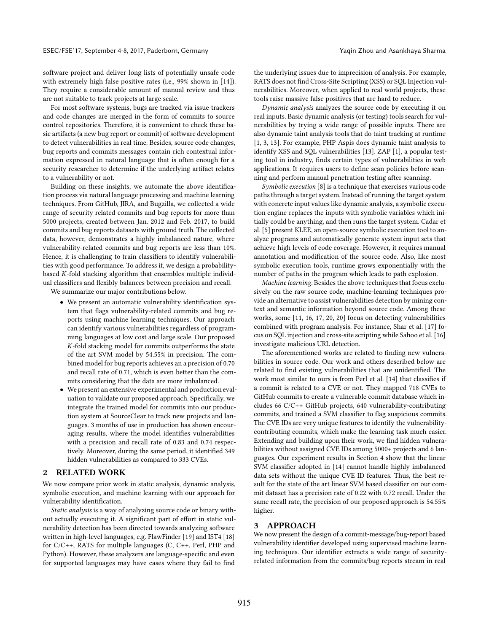software project and deliver long lists of potentially unsafe code with extremely high false positive rates (i.e., 99% shown in [\[14\]](#page-5-3)). They require a considerable amount of manual review and thus are not suitable to track projects at large scale.

For most software systems, bugs are tracked via issue trackers and code changes are merged in the form of commits to source control repositories. Therefore, it is convenient to check these basic artifacts (a new bug report or commit) of software development to detect vulnerabilities in real time. Besides, source code changes, bug reports and commits messages contain rich contextual information expressed in natural language that is often enough for a security researcher to determine if the underlying artifact relates to a vulnerability or not.

Building on these insights, we automate the above identification process via natural language processing and machine learning techniques. From GitHub, JIRA, and Bugzilla, we collected a wide range of security related commits and bug reports for more than 5000 projects, created between Jan. 2012 and Feb. 2017, to build commits and bug reports datasets with ground truth. The collected data, however, demonstrates a highly imbalanced nature, where vulnerability-related commits and bug reports are less than 10%. Hence, it is challenging to train classifiers to identify vulnerabilities with good performance. To address it, we design a probabilitybased K-fold stacking algorithm that ensembles multiple individual classifiers and flexibly balances between precision and recall.

We summarize our major contributions below.

- We present an automatic vulnerability identification system that flags vulnerability-related commits and bug reports using machine learning techniques. Our approach can identify various vulnerabilities regardless of programming languages at low cost and large scale. Our proposed K-fold stacking model for commits outperforms the state of the art SVM model by 54.55% in precision. The combined model for bug reports achieves an a precision of 0.70 and recall rate of 0.71, which is even better than the commits considering that the data are more imbalanced.
- We present an extensive experimental and production evaluation to validate our proposed approach. Specifically, we integrate the trained model for commits into our production system at SourceClear to track new projects and languages. 3 months of use in production has shown encouraging results, where the model identifies vulnerabilities with a precision and recall rate of 0.83 and 0.74 respectively. Moreover, during the same period, it identified 349 hidden vulnerabilities as compared to 333 CVEs.

#### **RELATED WORK**

We now compare prior work in static analysis, dynamic analysis, symbolic execution, and machine learning with our approach for vulnerability identification.

Static analysis is a way of analyzing source code or binary without actually executing it. A significant part of effort in static vulnerability detection has been directed towards analyzing software written in high-level languages, e.g. FlawFinder [\[19](#page-5-2)] and IST4 [\[18\]](#page-5-4) for C/C++, RATS for multiple languages (C, C++, Perl, PHP and Python). However, these analyzers are language-specific and even for supported languages may have cases where they fail to find

the underlying issues due to imprecision of analysis. For example, RATS does not find Cross-Site Scripting (XSS) or SQL Injection vulnerabilities. Moreover, when applied to real world projects, these tools raise massive false positives that are hard to reduce.

Dynamic analysis analyzes the source code by executing it on real inputs. Basic dynamic analysis (or testing) tools search for vulnerabilities by trying a wide range of possible inputs. There are also dynamic taint analysis tools that do taint tracking at runtime [\[1](#page-5-5), [3](#page-5-6), [13\]](#page-5-7). For example, PHP Aspis does dynamic taint analysis to identify XSS and SQL vulnerabilities [\[13](#page-5-7)]. ZAP [\[1\]](#page-5-5), a popular testing tool in industry, finds certain types of vulnerabilities in web applications. It requires users to define scan policies before scanning and perform manual penetration testing after scanning.

Symbolic execution [\[8\]](#page-5-8) is a technique that exercises various code paths through a target system. Instead of running the target system with concrete input values like dynamic analysis, a symbolic execution engine replaces the inputs with symbolic variables which initially could be anything, and then runs the target system. Cadar et al. [\[5\]](#page-5-9) present KLEE, an open-source symbolic execution tool to analyze programs and automatically generate system input sets that achieve high levels of code coverage. However, it requires manual annotation and modification of the source code. Also, like most symbolic execution tools, runtime grows exponentially with the number of paths in the program which leads to path explosion.

Machine learning. Besides the above techniques that focus exclusively on the raw source code, machine-learning techniques provide an alternative to assist vulnerabilities detection by mining context and semantic information beyond source code. Among these works, some [\[11,](#page-5-10) [16,](#page-5-11) [17,](#page-5-12) [20, 20\]](#page-5-13) focus on detecting vulnerabilities combined with program analysis. For instance, Shar et al. [\[17\]](#page-5-12) focus on SQL injection and cross-site scripting while Sahoo et al. [\[16\]](#page-5-11) investigate malicious URL detection.

The aforementioned works are related to finding new vulnerabilities in source code. Our work and others described below are related to find existing vulnerabilities that are unidentified. The work most similar to ours is from Perl et al. [\[14\]](#page-5-3) that classifies if a commit is related to a CVE or not. They mapped 718 CVEs to GitHub commits to create a vulnerable commit database which includes 66 C/C++ GitHub projects, 640 vulnerability-contributing commits, and trained a SVM classifier to flag suspicious commits. The CVE IDs are very unique features to identify the vulnerabilitycontributing commits, which make the learning task much easier. Extending and building upon their work, we find hidden vulnerabilities without assigned CVE IDs among 5000+ projects and 6 languages. Our experiment results in Section [4](#page-3-0) show that the linear SVM classifier adopted in [\[14\]](#page-5-3) cannot handle highly imbalanced data sets without the unique CVE ID features. Thus, the best result for the state of the art linear SVM based classifier on our commit dataset has a precision rate of 0.22 with 0.72 recall. Under the same recall rate, the precision of our proposed approach is 54.55% higher.

#### 3 APPROACH

We now present the design of a commit-message/bug-report based vulnerability identifier developed using supervised machine learning techniques. Our identifier extracts a wide range of securityrelated information from the commits/bug reports stream in real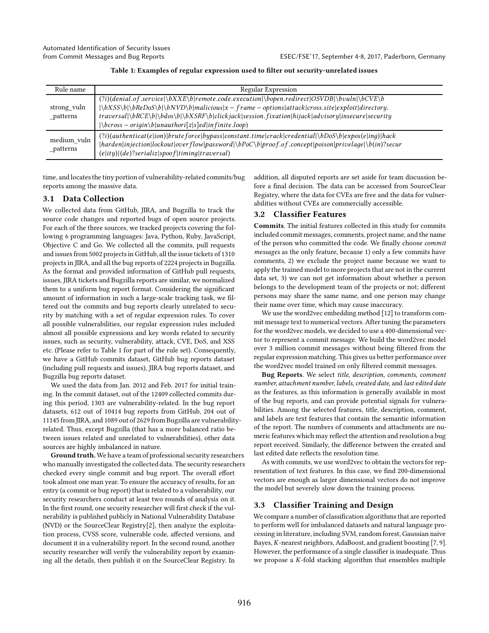<span id="page-2-0"></span>Automated Identification of Security Issues

| Regular Expression                                                                                                                                                                                                                                                                    |  |  |  |
|---------------------------------------------------------------------------------------------------------------------------------------------------------------------------------------------------------------------------------------------------------------------------------------|--|--|--|
| $(?i)(denial. of .service\\ bXXE\backslash b  remote. code. execution\\ bopen. redirect OSVDB\\ bcvull\\ bCVE\backslash b$                                                                                                                                                            |  |  |  |
| $ \bangle$ XSS\b \bReDoS\b \bNVD\b malicious x - frame - options attack cross.site exploit directory.                                                                                                                                                                                 |  |  |  |
| $traversal \bangle BCE\bangle b \bangle SRF\bangle b clickjack session.fixation hijack advisory insecure security$                                                                                                                                                                    |  |  |  |
| $ \text{bcross} - origin\cdot b $ unauthori $[z s]$ ed infinite.loop)                                                                                                                                                                                                                 |  |  |  |
| $(2i)(authenticat(e ion)  brute force bypass constant.time crack credential bDoS\b expos(e ing) hack$<br>$ harden  injection  lockout  over flow  password  \b}pos() b  proof. of .concept poison  private lagel \b) (in)? secur$<br>$(e ity) (de)$ ?serializ spoof timing traversal) |  |  |  |
|                                                                                                                                                                                                                                                                                       |  |  |  |

Table 1: Examples of regular expression used to filter out security-unrelated issues

time, and locates the tiny portion of vulnerability-related commits/bug reports among the massive data.

## 3.1 Data Collection

We collected data from GitHub, JIRA, and Bugzilla to track the source code changes and reported bugs of open source projects. For each of the three sources, we tracked projects covering the following 6 programming languages: Java, Python, Ruby, JavaScript, Objective C and Go. We collected all the commits, pull requests and issues from 5002 projects in GitHub, all the issue tickets of 1310 projects in JIRA, and all the bug reports of 2224 projects in Bugzilla. As the format and provided information of GitHub pull requests, issues, JIRA tickets and Bugzilla reports are similar, we normalized them to a uniform bug report format. Considering the significant amount of information in such a large-scale tracking task, we filtered out the commits and bug reports clearly unrelated to security by matching with a set of regular expression rules. To cover all possible vulnerabilities, our regular expression rules included almost all possible expressions and key words related to security issues, such as security, vulnerability, attack, CVE, DoS, and XSS etc. (Please refer to Table [1](#page-2-0) for part of the rule set). Consequently, we have a GitHub commits dataset, GitHub bug reports dataset (including pull requests and issues), JIRA bug reports dataset, and Bugzilla bug reports dataset.

We used the data from Jan. 2012 and Feb. 2017 for initial training. In the commit dataset, out of the 12409 collected commits during this period, 1303 are vulnerability-related. In the bug report datasets, 612 out of 10414 bug reports from GitHub, 204 out of 11145 from JIRA, and 1089 out of 2629 from Bugzilla are vulnerabilityrelated. Thus, except Bugzilla (that has a more balanced ratio between issues related and unrelated to vulnerabilities), other data sources are highly imbalanced in nature.

Ground truth.We have a team of professional security researchers who manually investigated the collected data. The security researchers checked every single commit and bug report. The overall effort took almost one man year. To ensure the accuracy of results, for an entry (a commit or bug report) that is related to a vulnerability, our security researchers conduct at least two rounds of analysis on it. In the first round, one security researcher will first check if the vulnerability is published publicly in National Vulnerability Database (NVD) or the SourceClear Registry[\[2\]](#page-5-1), then analyze the exploitation process, CVSS score, vulnerable code, affected versions, and document it in a vulnerability report. In the second round, another security researcher will verify the vulnerability report by examining all the details, then publish it on the SourceClear Registry. In

addition, all disputed reports are set aside for team discussion before a final decision. The data can be accessed from SourceClear Registry, where the data for CVEs are free and the data for vulnerabilities without CVEs are commercially accessible.

## 3.2 Classifier Features

Commits. The initial features collected in this study for commits included commit messages, comments, project name, and the name of the person who committed the code. We finally choose commit messages as the only feature, because 1) only a few commits have comments, 2) we exclude the project name because we want to apply the trained model to more projects that are not in the current data set, 3) we can not get information about whether a person belongs to the development team of the projects or not; different persons may share the same name, and one person may change their name over time, which may cause inaccuracy.

We use the word2vec embedding method [\[12](#page-5-14)] to transform commit message text to numerical vectors. After tuning the parameters for the word2vec models, we decided to use a 400-dimensional vector to represent a commit message. We build the word2vec model over 3 million commit messages without being filtered from the regular expression matching. This gives us better performance over the word2vec model trained on only filtered commit messages.

Bug Reports. We select title, description, comments, comment number, attachment number, labels, created date, and last edited date as the features, as this information is generally available in most of the bug reports, and can provide potential signals for vulnerabilities. Among the selected features, title, description, comment, and labels are text features that contain the semantic information of the report. The numbers of comments and attachments are numeric features which may reflect the attention and resolution a bug report received. Similarly, the difference between the created and last edited date reflects the resolution time.

As with commits, we use word2vec to obtain the vectors for representation of text features. In this case, we find 200-dimensional vectors are enough as larger dimensional vectors do not improve the model but severely slow down the training process.

## 3.3 Classifier Training and Design

We compare a number of classification algorithms that are reported to perform well for imbalanced datasets and natural language processing in literature, including SVM, random forest, Gaussian naive Bayes, K-nearest neighbors, AdaBoost, and gradient boosting [\[7,](#page-5-15) [9](#page-5-16)]. However, the performance of a single classifier is inadequate. Thus we propose a  $K$ -fold stacking algorithm that ensembles multiple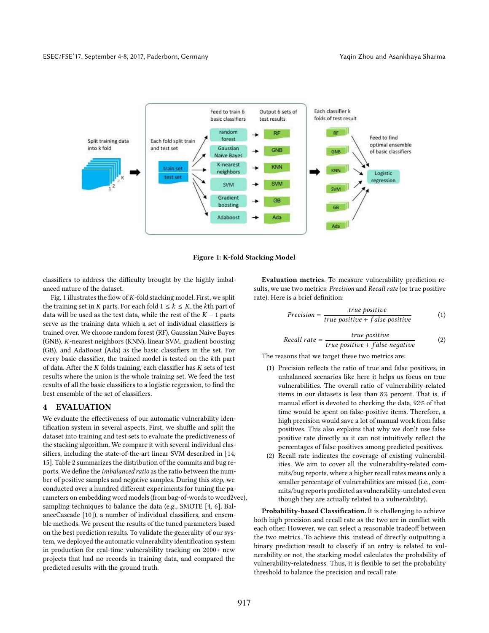<span id="page-3-1"></span>



classifiers to address the difficulty brought by the highly imbalanced nature of the dataset.

Fig. [1](#page-3-1) illustrates the flow of  $K$ -fold stacking model. First, we split the training set in K parts. For each fold  $1 \leq k \leq K$ , the kth part of data will be used as the test data, while the rest of the  $K - 1$  parts serve as the training data which a set of individual classifiers is trained over. We choose random forest (RF), Gaussian Naive Bayes (GNB), K-nearest neighbors (KNN), linear SVM, gradient boosting (GB), and AdaBoost (Ada) as the basic classifiers in the set. For every basic classifier, the trained model is tested on the kth part of data. After the  $K$  folds training, each classifier has  $K$  sets of test results where the union is the whole training set. We feed the test results of all the basic classifiers to a logistic regression, to find the best ensemble of the set of classifiers.

#### <span id="page-3-0"></span>4 EVALUATION

We evaluate the effectiveness of our automatic vulnerability identification system in several aspects. First, we shuffle and split the dataset into training and test sets to evaluate the predictiveness of the stacking algorithm. We compare it with several individual clas-sifiers, including the state-of-the-art linear SVM described in [\[14](#page-5-3), [15\]](#page-5-17). Table [2](#page-4-0) summarizes the distribution of the commits and bug reports. We define the *imbalanced ratio* as the ratio between the number of positive samples and negative samples. During this step, we conducted over a hundred different experiments for tuning the parameters on embedding word models (from bag-of-words to word2vec), sampling techniques to balance the data (e.g., SMOTE [\[4](#page-5-18), [6\]](#page-5-19), Bal-anceCascade [\[10\]](#page-5-20)), a number of individual classifiers, and ensemble methods. We present the results of the tuned parameters based on the best prediction results. To validate the generality of our system, we deployed the automatic vulnerability identification system in production for real-time vulnerability tracking on 2000+ new projects that had no records in training data, and compared the predicted results with the ground truth.

Evaluation metrics. To measure vulnerability prediction results, we use two metrics: Precision and Recall rate (or true positive rate). Here is a brief definition:

$$
Precision = \frac{true \ positive}{true \ positive + false \ positive}
$$
 (1)

Recall rate = 
$$
\frac{true \ positive}{true \ positive + false \ negative}
$$
 (2)

The reasons that we target these two metrics are:

- (1) Precision reflects the ratio of true and false positives, in unbalanced scenarios like here it helps us focus on true vulnerabilities. The overall ratio of vulnerability-related items in our datasets is less than 8% percent. That is, if manual effort is devoted to checking the data, 92% of that time would be spent on false-positive items. Therefore, a high precision would save a lot of manual work from false positives. This also explains that why we don't use false positive rate directly as it can not intuitively reflect the percentages of false positives among predicted positives.
- (2) Recall rate indicates the coverage of existing vulnerabilities. We aim to cover all the vulnerability-related commits/bug reports, where a higher recall rates means only a smaller percentage of vulnerabilities are missed (i.e., commits/bug reports predicted as vulnerability-unrelated even though they are actually related to a vulnerability).

Probability-based Classification. It is challenging to achieve both high precision and recall rate as the two are in conflict with each other. However, we can select a reasonable tradeoff between the two metrics. To achieve this, instead of directly outputting a binary prediction result to classify if an entry is related to vulnerability or not, the stacking model calculates the probability of vulnerability-relatedness. Thus, it is flexible to set the probability threshold to balance the precision and recall rate.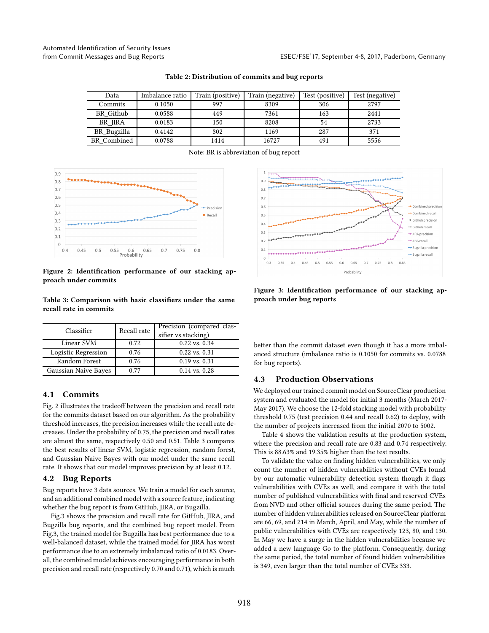<span id="page-4-0"></span>

| Data               | Imbalance ratio | Train (positive) | Train (negative) | Test (positive) | Test (negative) |
|--------------------|-----------------|------------------|------------------|-----------------|-----------------|
| Commits            | 0.1050          | 997              | 8309             | 306             | 2797            |
| <b>BR</b> Github   | 0.0588          | 449              | 7361             | 163             | 2441            |
| BR JIRA            | 0.0183          | 150              | 8208             | 54              | 2733            |
| BR Bugzilla        | 0.4142          | 802              | 1169             | 287             | 371             |
| <b>BR</b> Combined | 0.0788          | 1414             | 16727            | 491             | 5556            |

Note: BR is abbreviation of bug report

Table 2: Distribution of commits and bug reports

<span id="page-4-1"></span>

Figure 2: Identification performance of our stacking approach under commits

#### <span id="page-4-2"></span>Table 3: Comparison with basic classifiers under the same recall rate in commits

| Classifier           | Recall rate | Precision (compared clas-<br>sifier vs.stacking) |  |
|----------------------|-------------|--------------------------------------------------|--|
| Linear SVM           | 0.72        | $0.22$ vs. $0.34$                                |  |
| Logistic Regression  | 0.76        | $0.22$ vs. $0.31$                                |  |
| Random Forest        | 0.76        | $0.19$ vs. $0.31$                                |  |
| Gaussian Naive Bayes | 0.77        | $0.14$ vs. $0.28$                                |  |

## 4.1 Commits

Fig. [2](#page-4-1) illustrates the tradeoff between the precision and recall rate for the commits dataset based on our algorithm. As the probability threshold increases, the precision increases while the recall rate decreases. Under the probability of 0.75, the precision and recall rates are almost the same, respectively 0.50 and 0.51. Table [3](#page-4-2) compares the best results of linear SVM, logistic regression, random forest, and Gaussian Naive Bayes with our model under the same recall rate. It shows that our model improves precision by at least 0.12.

#### 4.2 Bug Reports

Bug reports have 3 data sources. We train a model for each source, and an additional combined model with a source feature, indicating whether the bug report is from GitHub, JIRA, or Bugzilla.

Fig[.3](#page-4-3) shows the precision and recall rate for GitHub, JIRA, and Bugzilla bug reports, and the combined bug report model. From Fig[.3,](#page-4-3) the trained model for Bugzilla has best performance due to a well-balanced dataset, while the trained model for JIRA has worst performance due to an extremely imbalanced ratio of 0.0183. Overall, the combined model achieves encouraging performance in both precision and recall rate (respectively 0.70 and 0.71), which is much

<span id="page-4-3"></span>

Figure 3: Identification performance of our stacking approach under bug reports

better than the commit dataset even though it has a more imbalanced structure (imbalance ratio is 0.1050 for commits vs. 0.0788 for bug reports).

#### 4.3 Production Observations

We deployed our trained commit model on SourceClear production system and evaluated the model for initial 3 months (March 2017- May 2017). We choose the 12-fold stacking model with probability threshold 0.75 (test precision 0.44 and recall 0.62) to deploy, with the number of projects increased from the initial 2070 to 5002.

Table [4](#page-5-21) shows the validation results at the production system, where the precision and recall rate are 0.83 and 0.74 respectively. This is 88.63% and 19.35% higher than the test results.

To validate the value on finding hidden vulnerabilities, we only count the number of hidden vulnerabilities without CVEs found by our automatic vulnerability detection system though it flags vulnerabilities with CVEs as well, and compare it with the total number of published vulnerabilities with final and reserved CVEs from NVD and other official sources during the same period. The number of hidden vulnerabilities released on SourceClear platform are 66, 69, and 214 in March, April, and May, while the number of public vulnerabilities with CVEs are respectively 123, 80, and 130. In May we have a surge in the hidden vulnerabilities because we added a new language Go to the platform. Consequently, during the same period, the total number of found hidden vulnerabilities is 349, even larger than the total number of CVEs 333.